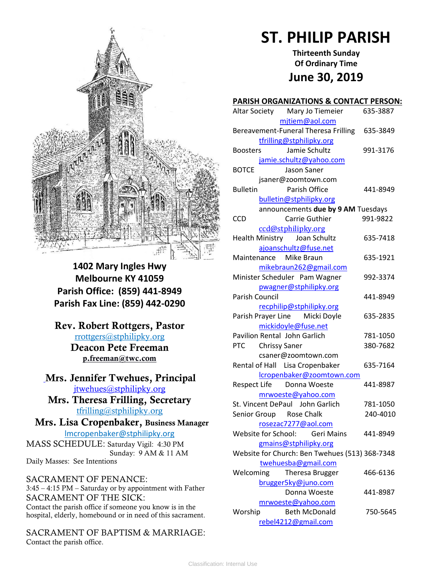

**1402 Mary Ingles Hwy Melbourne KY 41059 Parish Office: (859) 441-8949 Parish Fax Line: (859) 442-0290**

**Rev. Robert Rottgers, Pastor**  [rrottgers@stphilipky.org](mailto:rrottgers@stphilipky.org) **Deacon Pete Freeman p.freeman@twc.com**

# **Mrs. Jennifer Twehues, Principal** [jtwehues@stphilipky.org](mailto:jtwehues@stphilipky.org)

**Mrs. Theresa Frilling, Secretary**  [tfrilling@stphilipky.org](mailto:tfrilling@stphilipky.org)

 **Mrs. Lisa Cropenbaker, Business Manager**  lmcropenbaker@stphilipky.org

MASS SCHEDULE: Saturday Vigil: 4:30 PM Sunday: 9 AM & 11 AM Daily Masses: See Intentions

SACRAMENT OF PENANCE: 3:45 – 4:15 PM – Saturday or by appointment with Father SACRAMENT OF THE SICK: Contact the parish office if someone you know is in the hospital, elderly, homebound or in need of this sacrament.

SACRAMENT OF BAPTISM & MARRIAGE: Contact the parish office.

# **ST. PHILIP PARISH**

**Thirteenth Sunday Of Ordinary Time June 30, 2019**

#### **PARISH ORGANIZATIONS & CONTACT PERSON:**

| Altar Society Mary Jo Tiemeier                 | 635-3887 |
|------------------------------------------------|----------|
| mitiem@aol.com                                 |          |
| Bereavement-Funeral Theresa Frilling           | 635-3849 |
| tfrilling@stphilipky.org                       |          |
| Jamie Schultz<br><b>Boosters</b>               | 991-3176 |
| jamie.schultz@yahoo.com                        |          |
| <b>BOTCE</b><br>Jason Saner                    |          |
| jsaner@zoomtown.com                            |          |
| <b>Bulletin</b><br>Parish Office               | 441-8949 |
| bulletin@stphilipky.org                        |          |
| announcements due by 9 AM Tuesdays             |          |
| Carrie Guthier<br><b>CCD</b>                   | 991-9822 |
| ccd@stphilipky.org                             |          |
| Health Ministry Joan Schultz                   | 635-7418 |
| ajoanschultz@fuse.net                          |          |
| Maintenance Mike Braun                         | 635-1921 |
| mikebraun262@gmail.com                         |          |
| Minister Scheduler Pam Wagner                  | 992-3374 |
| pwagner@stphilipky.org                         |          |
| Parish Council                                 | 441-8949 |
| recphilip@stphilipky.org                       |          |
| Parish Prayer Line Micki Doyle                 | 635-2835 |
| mickidoyle@fuse.net                            |          |
| Pavilion Rental John Garlich                   | 781-1050 |
| PTC Chrissy Saner                              | 380-7682 |
| csaner@zoomtown.com                            |          |
| Rental of Hall Lisa Cropenbaker                | 635-7164 |
| lcropenbaker@zoomtown.com                      |          |
| Respect Life Donna Woeste                      | 441-8987 |
| mrwoeste@yahoo.com                             |          |
| St. Vincent DePaul John Garlich                | 781-1050 |
| Senior Group Rose Chalk                        | 240-4010 |
| rosezac7277@aol.com                            |          |
| Website for School: Geri Mains                 | 441-8949 |
| gmains@stphilipky.org                          |          |
| Website for Church: Ben Twehues (513) 368-7348 |          |
| twehuesba@gmail.com                            |          |
| Welcoming<br>Theresa Brugger                   | 466-6136 |
| brugger5ky@juno.com                            |          |
| Donna Woeste                                   | 441-8987 |
| mrwoeste@yahoo.com                             |          |
| Worship<br><b>Beth McDonald</b>                | 750-5645 |
| rebel4212@gmail.com                            |          |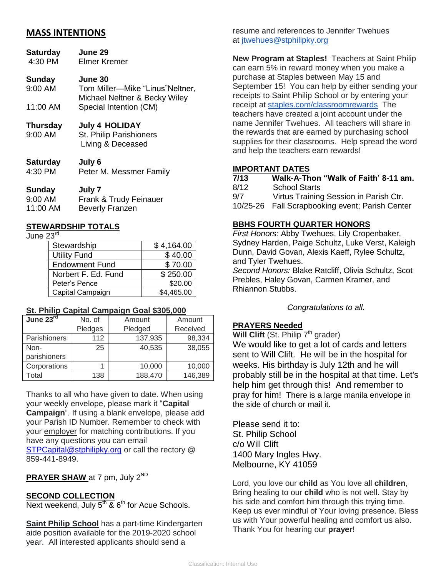# **MASS INTENTIONS**

| <b>Saturday</b><br>4:30 PM | <b>June 29</b><br>Elmer Kremer                                        |
|----------------------------|-----------------------------------------------------------------------|
| <b>Sunday</b>              | June 30                                                               |
| 9:00 AM                    | Tom Miller-Mike "Linus" Neltner,<br>Michael Neltner & Becky Wiley     |
| 11:00 AM                   | Special Intention (CM)                                                |
| <b>Thursday</b><br>9:00 AM | <b>July 4 HOLIDAY</b><br>St. Philip Parishioners<br>Living & Deceased |
|                            | I.I.A                                                                 |

| Saturgay | JUIV 6                  |
|----------|-------------------------|
| 4:30 PM  | Peter M. Messmer Family |

#### **Sunday July 7** 9:00 AM Frank & Trudy Feinauer 11:00 AM Beverly Franzen

#### **STEWARDSHIP TOTALS**

June 23<sup>rd</sup>.

| Stewardship           | \$4,164.00 |
|-----------------------|------------|
| <b>Utility Fund</b>   | \$40.00    |
| <b>Endowment Fund</b> | \$70.00    |
| Norbert F. Ed. Fund   | \$250.00   |
| Peter's Pence         | \$20.00    |
| Capital Campaign      | \$4,465.00 |

#### **St. Philip Capital Campaign Goal \$305,000**

| June 23rd    | No. of  | Amount  | Amount   |
|--------------|---------|---------|----------|
|              | Pledges | Pledged | Received |
| Parishioners | 112     | 137,935 | 98,334   |
| Non-         | 25      | 40,535  | 38,055   |
| parishioners |         |         |          |
| Corporations |         | 10,000  | 10,000   |
| Total        | 138     | 188,470 | 146,389  |

Thanks to all who have given to date. When using your weekly envelope, please mark it "**Capital Campaign**". If using a blank envelope, please add your Parish ID Number. Remember to check with your employer for matching contributions. If you have any questions you can email [STPCapital@stphilipky.org](mailto:STPCapital@stphilipky.org) or call the rectory @ 859-441-8949.

# **PRAYER SHAW** at 7 pm, July 2<sup>ND</sup>

#### **SECOND COLLECTION**

Next weekend, July  $5^{th}$  &  $6^{th}$  for Acue Schools.

**Saint Philip School** has a part-time Kindergarten aide position available for the 2019-2020 school year. All interested applicants should send a

resume and references to Jennifer Twehues at [jtwehues@stphilipky.org](mailto:jtwehues@stphilipky.org)

**New Program at Staples!** Teachers at Saint Philip can earn 5% in reward money when you make a purchase at Staples between May 15 and September 15! You can help by either sending your receipts to Saint Philip School or by entering your receipt at [staples.com/classroomrewards](http://staples.com/classroomrewards) The teachers have created a joint account under the name Jennifer Twehues. All teachers will share in the rewards that are earned by purchasing school supplies for their classrooms. Help spread the word and help the teachers earn rewards!

#### **IMPORTANT DATES**

| 7/13 | Walk-A-Thon "Walk of Faith' 8-11 am.            |
|------|-------------------------------------------------|
| 8/12 | <b>School Starts</b>                            |
| 9/7  | Virtus Training Session in Parish Ctr.          |
|      | 10/25-26 Fall Scrapbooking event; Parish Center |
|      |                                                 |

## **BBHS FOURTH QUARTER HONORS**

*First Honors:* Abby Twehues, Lily Cropenbaker, Sydney Harden, Paige Schultz, Luke Verst, Kaleigh Dunn, David Govan, Alexis Kaeff, Rylee Schultz, and Tyler Twehues.

*Second Honors:* Blake Ratcliff, Olivia Schultz, Scot Prebles, Haley Govan, Carmen Kramer, and Rhiannon Stubbs.

*Congratulations to all.*

#### **PRAYERS Needed**

**Will Clift** (St. Philip 7<sup>th</sup> grader)

We would like to get a lot of cards and letters sent to Will Clift. He will be in the hospital for weeks. His birthday is July 12th and he will probably still be in the hospital at that time. Let's help him get through this! And remember to pray for him! There is a large manila envelope in the side of church or mail it.

Please send it to: St. Philip School c/o Will Clift 1400 Mary Ingles Hwy. Melbourne, KY 41059

Lord, you love our **child** as You love all **children**, Bring healing to our **child** who is not well. Stay by his side and comfort him through this trying time. Keep us ever mindful of Your loving presence. Bless us with Your powerful healing and comfort us also. Thank You for hearing our **prayer**!